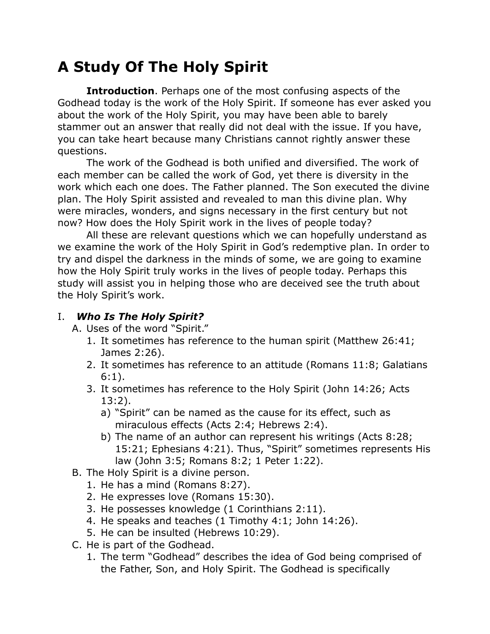# **A Study Of The Holy Spirit**

**Introduction**. Perhaps one of the most confusing aspects of the Godhead today is the work of the Holy Spirit. If someone has ever asked you about the work of the Holy Spirit, you may have been able to barely stammer out an answer that really did not deal with the issue. If you have, you can take heart because many Christians cannot rightly answer these questions.

The work of the Godhead is both unified and diversified. The work of each member can be called the work of God, yet there is diversity in the work which each one does. The Father planned. The Son executed the divine plan. The Holy Spirit assisted and revealed to man this divine plan. Why were miracles, wonders, and signs necessary in the first century but not now? How does the Holy Spirit work in the lives of people today?

All these are relevant questions which we can hopefully understand as we examine the work of the Holy Spirit in God's redemptive plan. In order to try and dispel the darkness in the minds of some, we are going to examine how the Holy Spirit truly works in the lives of people today. Perhaps this study will assist you in helping those who are deceived see the truth about the Holy Spirit's work.

#### I. *Who Is The Holy Spirit?*

A. Uses of the word "Spirit."

- 1. It sometimes has reference to the human spirit (Matthew 26:41; James 2:26).
- 2. It sometimes has reference to an attitude (Romans 11:8; Galatians 6:1).
- 3. It sometimes has reference to the Holy Spirit (John 14:26; Acts 13:2).
	- a) "Spirit" can be named as the cause for its effect, such as miraculous effects (Acts 2:4; Hebrews 2:4).
	- b) The name of an author can represent his writings (Acts 8:28; 15:21; Ephesians 4:21). Thus, "Spirit" sometimes represents His law (John 3:5; Romans 8:2; 1 Peter 1:22).
- B. The Holy Spirit is a divine person.
	- 1. He has a mind (Romans 8:27).
	- 2. He expresses love (Romans 15:30).
	- 3. He possesses knowledge (1 Corinthians 2:11).
	- 4. He speaks and teaches (1 Timothy 4:1; John 14:26).
	- 5. He can be insulted (Hebrews 10:29).
- C. He is part of the Godhead.
	- 1. The term "Godhead" describes the idea of God being comprised of the Father, Son, and Holy Spirit. The Godhead is specifically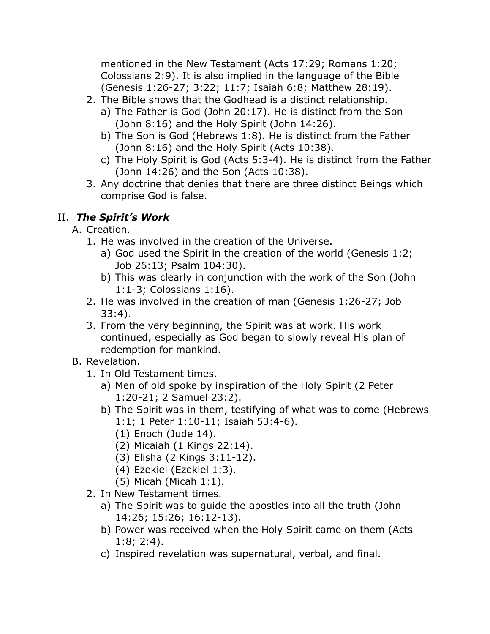mentioned in the New Testament (Acts 17:29; Romans 1:20; Colossians 2:9). It is also implied in the language of the Bible (Genesis 1:26-27; 3:22; 11:7; Isaiah 6:8; Matthew 28:19).

- 2. The Bible shows that the Godhead is a distinct relationship.
	- a) The Father is God (John 20:17). He is distinct from the Son (John 8:16) and the Holy Spirit (John 14:26).
	- b) The Son is God (Hebrews 1:8). He is distinct from the Father (John 8:16) and the Holy Spirit (Acts 10:38).
	- c) The Holy Spirit is God (Acts 5:3-4). He is distinct from the Father (John 14:26) and the Son (Acts 10:38).
- 3. Any doctrine that denies that there are three distinct Beings which comprise God is false.

## II. *The Spirit's Work*

- A. Creation.
	- 1. He was involved in the creation of the Universe.
		- a) God used the Spirit in the creation of the world (Genesis 1:2; Job 26:13; Psalm 104:30).
		- b) This was clearly in conjunction with the work of the Son (John 1:1-3; Colossians 1:16).
	- 2. He was involved in the creation of man (Genesis 1:26-27; Job 33:4).
	- 3. From the very beginning, the Spirit was at work. His work continued, especially as God began to slowly reveal His plan of redemption for mankind.
- B. Revelation.
	- 1. In Old Testament times.
		- a) Men of old spoke by inspiration of the Holy Spirit (2 Peter 1:20-21; 2 Samuel 23:2).
		- b) The Spirit was in them, testifying of what was to come (Hebrews 1:1; 1 Peter 1:10-11; Isaiah 53:4-6).
			- (1) Enoch (Jude 14).
			- (2) Micaiah (1 Kings 22:14).
			- (3) Elisha (2 Kings 3:11-12).
			- (4) Ezekiel (Ezekiel 1:3).
			- (5) Micah (Micah 1:1).
	- 2. In New Testament times.
		- a) The Spirit was to guide the apostles into all the truth (John 14:26; 15:26; 16:12-13).
		- b) Power was received when the Holy Spirit came on them (Acts 1:8; 2:4).
		- c) Inspired revelation was supernatural, verbal, and final.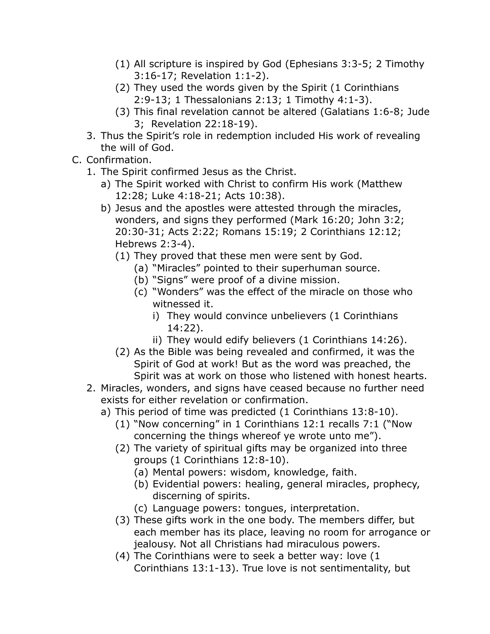- (1) All scripture is inspired by God (Ephesians 3:3-5; 2 Timothy 3:16-17; Revelation 1:1-2).
- (2) They used the words given by the Spirit (1 Corinthians 2:9-13; 1 Thessalonians 2:13; 1 Timothy 4:1-3).
- (3) This final revelation cannot be altered (Galatians 1:6-8; Jude 3; Revelation 22:18-19).
- 3. Thus the Spirit's role in redemption included His work of revealing the will of God.
- C. Confirmation.
	- 1. The Spirit confirmed Jesus as the Christ.
		- a) The Spirit worked with Christ to confirm His work (Matthew 12:28; Luke 4:18-21; Acts 10:38).
		- b) Jesus and the apostles were attested through the miracles, wonders, and signs they performed (Mark 16:20; John 3:2; 20:30-31; Acts 2:22; Romans 15:19; 2 Corinthians 12:12; Hebrews 2:3-4).
			- (1) They proved that these men were sent by God.
				- (a) "Miracles" pointed to their superhuman source.
				- (b) "Signs" were proof of a divine mission.
				- (c) "Wonders" was the effect of the miracle on those who witnessed it.
					- i) They would convince unbelievers (1 Corinthians 14:22).
					- ii) They would edify believers (1 Corinthians 14:26).
			- (2) As the Bible was being revealed and confirmed, it was the Spirit of God at work! But as the word was preached, the Spirit was at work on those who listened with honest hearts.
	- 2. Miracles, wonders, and signs have ceased because no further need exists for either revelation or confirmation.
		- a) This period of time was predicted (1 Corinthians 13:8-10).
			- (1) "Now concerning" in 1 Corinthians 12:1 recalls 7:1 ("Now concerning the things whereof ye wrote unto me").
			- (2) The variety of spiritual gifts may be organized into three groups (1 Corinthians 12:8-10).
				- (a) Mental powers: wisdom, knowledge, faith.
				- (b) Evidential powers: healing, general miracles, prophecy, discerning of spirits.
				- (c) Language powers: tongues, interpretation.
			- (3) These gifts work in the one body. The members differ, but each member has its place, leaving no room for arrogance or jealousy. Not all Christians had miraculous powers.
			- (4) The Corinthians were to seek a better way: love (1 Corinthians 13:1-13). True love is not sentimentality, but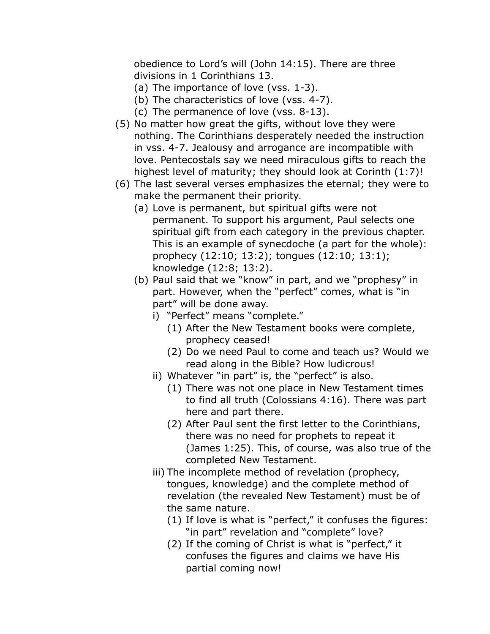obedience to Lord's will (John 14:15). There are three divisions in 1 Corinthians 13.

- (a) The importance of love (vss. 1-3).
- (b) The characteristics of love (vss. 4-7).
- (c) The permanence of love (vss. 8-13).
- (5) No matter how great the gifts, without love they were nothing. The Corinthians desperately needed the instruction in vss. 4-7. Jealousy and arrogance are incompatible with love. Pentecostals say we need miraculous gifts to reach the highest level of maturity; they should look at Corinth (1:7)!
- (6) The last several verses emphasizes the eternal; they were to make the permanent their priority.
	- (a) Love is permanent, but spiritual gifts were not permanent. To support his argument, Paul selects one spiritual gift from each category in the previous chapter. This is an example of synecdoche (a part for the whole): prophecy (12:10; 13:2); tongues (12:10; 13:1); knowledge (12:8; 13:2).
	- (b) Paul said that we "know" in part, and we "prophesy" in part. However, when the "perfect" comes, what is "in part" will be done away.
		- i) "Perfect" means "complete."
			- (1) After the New Testament books were complete, prophecy ceased!
			- (2) Do we need Paul to come and teach us? Would we read along in the Bible? How ludicrous!
		- ii) Whatever "in part" is, the "perfect" is also.
			- (1) There was not one place in New Testament times to find all truth (Colossians 4:16). There was part here and part there.
			- (2) After Paul sent the first letter to the Corinthians, there was no need for prophets to repeat it (James 1:25). This, of course, was also true of the completed New Testament.
		- iii) The incomplete method of revelation (prophecy, tongues, knowledge) and the complete method of revelation (the revealed New Testament) must be of the same nature.
			- (1) If love is what is "perfect," it confuses the figures: "in part" revelation and "complete" love?
			- (2) If the coming of Christ is what is "perfect," it confuses the figures and claims we have His partial coming now!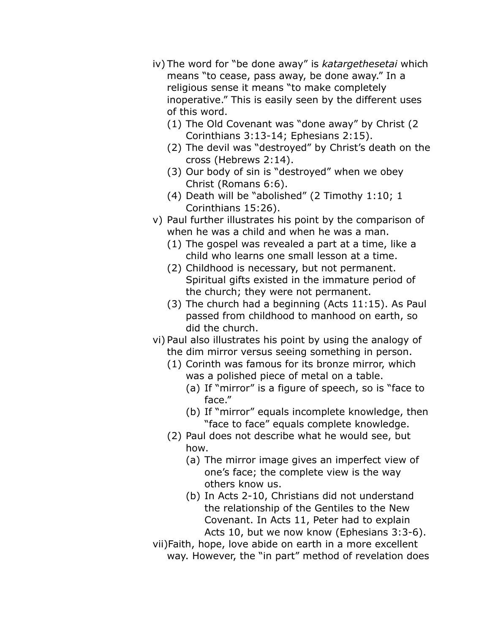- iv) The word for "be done away" is *katargethesetai* which means "to cease, pass away, be done away." In a religious sense it means "to make completely inoperative." This is easily seen by the different uses of this word.
	- (1) The Old Covenant was "done away" by Christ (2 Corinthians 3:13-14; Ephesians 2:15).
	- (2) The devil was "destroyed" by Christ's death on the cross (Hebrews 2:14).
	- (3) Our body of sin is "destroyed" when we obey Christ (Romans 6:6).
	- (4) Death will be "abolished" (2 Timothy 1:10; 1 Corinthians 15:26).
- v) Paul further illustrates his point by the comparison of when he was a child and when he was a man.
	- (1) The gospel was revealed a part at a time, like a child who learns one small lesson at a time.
	- (2) Childhood is necessary, but not permanent. Spiritual gifts existed in the immature period of the church; they were not permanent.
	- (3) The church had a beginning (Acts 11:15). As Paul passed from childhood to manhood on earth, so did the church.
- vi) Paul also illustrates his point by using the analogy of the dim mirror versus seeing something in person.
	- (1) Corinth was famous for its bronze mirror, which was a polished piece of metal on a table.
		- (a) If "mirror" is a figure of speech, so is "face to face."
		- (b) If "mirror" equals incomplete knowledge, then "face to face" equals complete knowledge.
	- (2) Paul does not describe what he would see, but how.
		- (a) The mirror image gives an imperfect view of one's face; the complete view is the way others know us.
		- (b) In Acts 2-10, Christians did not understand the relationship of the Gentiles to the New Covenant. In Acts 11, Peter had to explain Acts 10, but we now know (Ephesians 3:3-6).
- vii)Faith, hope, love abide on earth in a more excellent way. However, the "in part" method of revelation does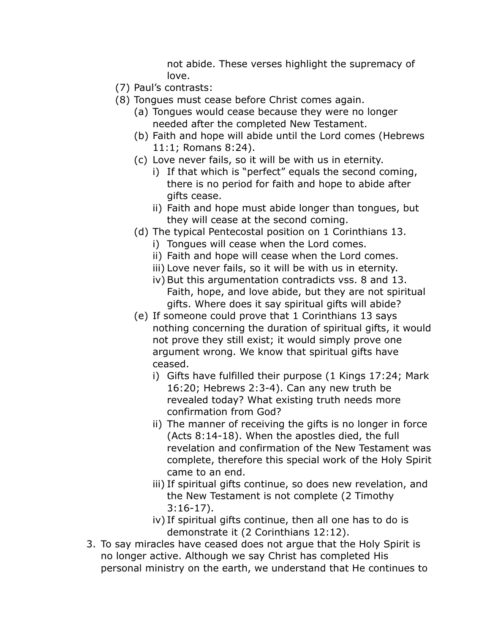not abide. These verses highlight the supremacy of love.

- (7) Paul's contrasts:
- (8) Tongues must cease before Christ comes again.
	- (a) Tongues would cease because they were no longer needed after the completed New Testament.
	- (b) Faith and hope will abide until the Lord comes (Hebrews 11:1; Romans 8:24).
	- (c) Love never fails, so it will be with us in eternity.
		- i) If that which is "perfect" equals the second coming, there is no period for faith and hope to abide after gifts cease.
		- ii) Faith and hope must abide longer than tongues, but they will cease at the second coming.
	- (d) The typical Pentecostal position on 1 Corinthians 13.
		- i) Tongues will cease when the Lord comes.
		- ii) Faith and hope will cease when the Lord comes.
		- iii) Love never fails, so it will be with us in eternity.
		- iv) But this argumentation contradicts vss. 8 and 13. Faith, hope, and love abide, but they are not spiritual gifts. Where does it say spiritual gifts will abide?
	- (e) If someone could prove that 1 Corinthians 13 says nothing concerning the duration of spiritual gifts, it would not prove they still exist; it would simply prove one argument wrong. We know that spiritual gifts have ceased.
		- i) Gifts have fulfilled their purpose (1 Kings 17:24; Mark 16:20; Hebrews 2:3-4). Can any new truth be revealed today? What existing truth needs more confirmation from God?
		- ii) The manner of receiving the gifts is no longer in force (Acts 8:14-18). When the apostles died, the full revelation and confirmation of the New Testament was complete, therefore this special work of the Holy Spirit came to an end.
		- iii) If spiritual gifts continue, so does new revelation, and the New Testament is not complete (2 Timothy 3:16-17).
		- iv) If spiritual gifts continue, then all one has to do is demonstrate it (2 Corinthians 12:12).
- 3. To say miracles have ceased does not argue that the Holy Spirit is no longer active. Although we say Christ has completed His personal ministry on the earth, we understand that He continues to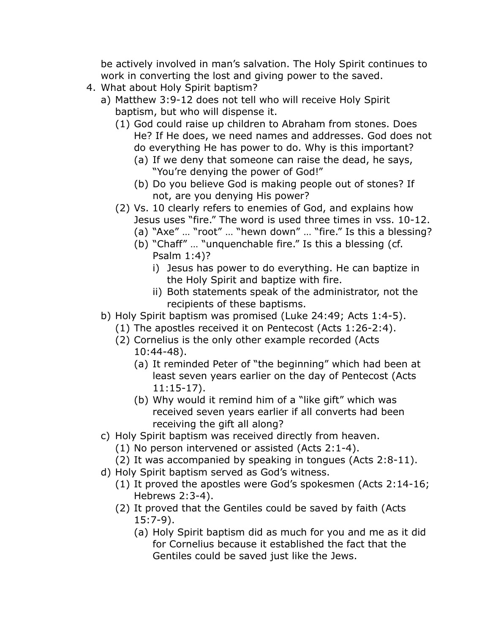be actively involved in man's salvation. The Holy Spirit continues to work in converting the lost and giving power to the saved.

- 4. What about Holy Spirit baptism?
	- a) Matthew 3:9-12 does not tell who will receive Holy Spirit baptism, but who will dispense it.
		- (1) God could raise up children to Abraham from stones. Does He? If He does, we need names and addresses. God does not do everything He has power to do. Why is this important?
			- (a) If we deny that someone can raise the dead, he says, "You're denying the power of God!"
			- (b) Do you believe God is making people out of stones? If not, are you denying His power?
		- (2) Vs. 10 clearly refers to enemies of God, and explains how Jesus uses "fire." The word is used three times in vss. 10-12.
			- (a) "Axe" … "root" … "hewn down" … "fire." Is this a blessing?
			- (b) "Chaff" … "unquenchable fire." Is this a blessing (cf. Psalm 1:4)?
				- i) Jesus has power to do everything. He can baptize in the Holy Spirit and baptize with fire.
				- ii) Both statements speak of the administrator, not the recipients of these baptisms.
	- b) Holy Spirit baptism was promised (Luke 24:49; Acts 1:4-5).
		- (1) The apostles received it on Pentecost (Acts 1:26-2:4).
		- (2) Cornelius is the only other example recorded (Acts
			- 10:44-48).
			- (a) It reminded Peter of "the beginning" which had been at least seven years earlier on the day of Pentecost (Acts 11:15-17).
			- (b) Why would it remind him of a "like gift" which was received seven years earlier if all converts had been receiving the gift all along?
	- c) Holy Spirit baptism was received directly from heaven.
		- (1) No person intervened or assisted (Acts 2:1-4).
		- (2) It was accompanied by speaking in tongues (Acts 2:8-11).
	- d) Holy Spirit baptism served as God's witness.
		- (1) It proved the apostles were God's spokesmen (Acts 2:14-16; Hebrews 2:3-4).
		- (2) It proved that the Gentiles could be saved by faith (Acts 15:7-9).
			- (a) Holy Spirit baptism did as much for you and me as it did for Cornelius because it established the fact that the Gentiles could be saved just like the Jews.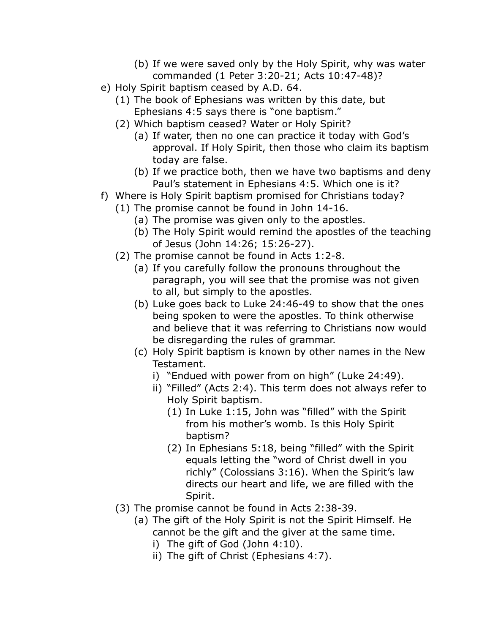- (b) If we were saved only by the Holy Spirit, why was water commanded (1 Peter 3:20-21; Acts 10:47-48)?
- e) Holy Spirit baptism ceased by A.D. 64.
	- (1) The book of Ephesians was written by this date, but Ephesians 4:5 says there is "one baptism."
	- (2) Which baptism ceased? Water or Holy Spirit?
		- (a) If water, then no one can practice it today with God's approval. If Holy Spirit, then those who claim its baptism today are false.
		- (b) If we practice both, then we have two baptisms and deny Paul's statement in Ephesians 4:5. Which one is it?
- f) Where is Holy Spirit baptism promised for Christians today?
	- (1) The promise cannot be found in John 14-16.
		- (a) The promise was given only to the apostles.
		- (b) The Holy Spirit would remind the apostles of the teaching of Jesus (John 14:26; 15:26-27).
	- (2) The promise cannot be found in Acts 1:2-8.
		- (a) If you carefully follow the pronouns throughout the paragraph, you will see that the promise was not given to all, but simply to the apostles.
		- (b) Luke goes back to Luke 24:46-49 to show that the ones being spoken to were the apostles. To think otherwise and believe that it was referring to Christians now would be disregarding the rules of grammar.
		- (c) Holy Spirit baptism is known by other names in the New Testament.
			- i) "Endued with power from on high" (Luke 24:49).
			- ii) "Filled" (Acts 2:4). This term does not always refer to Holy Spirit baptism.
				- (1) In Luke 1:15, John was "filled" with the Spirit from his mother's womb. Is this Holy Spirit baptism?
				- (2) In Ephesians 5:18, being "filled" with the Spirit equals letting the "word of Christ dwell in you richly" (Colossians 3:16). When the Spirit's law directs our heart and life, we are filled with the Spirit.
	- (3) The promise cannot be found in Acts 2:38-39.
		- (a) The gift of the Holy Spirit is not the Spirit Himself. He cannot be the gift and the giver at the same time.
			- i) The gift of God (John 4:10).
			- ii) The gift of Christ (Ephesians 4:7).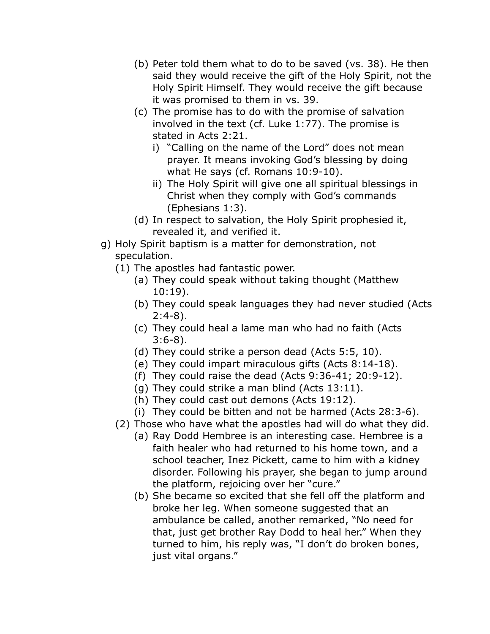- (b) Peter told them what to do to be saved (vs. 38). He then said they would receive the gift of the Holy Spirit, not the Holy Spirit Himself. They would receive the gift because it was promised to them in vs. 39.
- (c) The promise has to do with the promise of salvation involved in the text (cf. Luke 1:77). The promise is stated in Acts 2:21.
	- i) "Calling on the name of the Lord" does not mean prayer. It means invoking God's blessing by doing what He says (cf. Romans 10:9-10).
	- ii) The Holy Spirit will give one all spiritual blessings in Christ when they comply with God's commands (Ephesians 1:3).
- (d) In respect to salvation, the Holy Spirit prophesied it, revealed it, and verified it.
- g) Holy Spirit baptism is a matter for demonstration, not speculation.
	- (1) The apostles had fantastic power.
		- (a) They could speak without taking thought (Matthew 10:19).
		- (b) They could speak languages they had never studied (Acts 2:4-8).
		- (c) They could heal a lame man who had no faith (Acts 3:6-8).
		- (d) They could strike a person dead (Acts 5:5, 10).
		- (e) They could impart miraculous gifts (Acts 8:14-18).
		- (f) They could raise the dead (Acts 9:36-41; 20:9-12).
		- (g) They could strike a man blind (Acts 13:11).
		- (h) They could cast out demons (Acts 19:12).
		- (i) They could be bitten and not be harmed (Acts 28:3-6).
	- (2) Those who have what the apostles had will do what they did.
		- (a) Ray Dodd Hembree is an interesting case. Hembree is a faith healer who had returned to his home town, and a school teacher, Inez Pickett, came to him with a kidney disorder. Following his prayer, she began to jump around the platform, rejoicing over her "cure."
		- (b) She became so excited that she fell off the platform and broke her leg. When someone suggested that an ambulance be called, another remarked, "No need for that, just get brother Ray Dodd to heal her." When they turned to him, his reply was, "I don't do broken bones, just vital organs."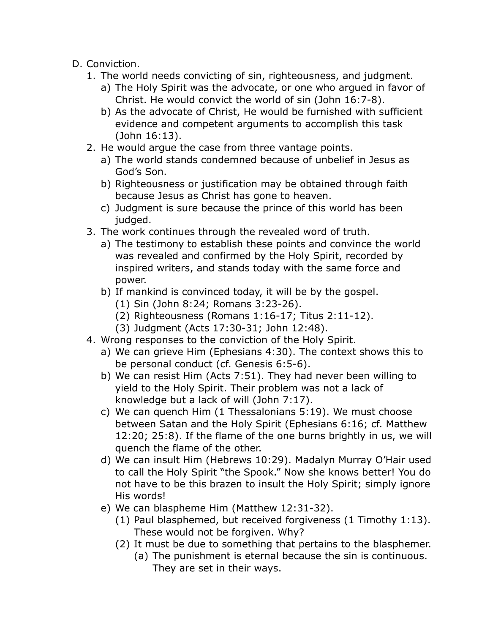- D. Conviction.
	- 1. The world needs convicting of sin, righteousness, and judgment.
		- a) The Holy Spirit was the advocate, or one who argued in favor of Christ. He would convict the world of sin (John 16:7-8).
		- b) As the advocate of Christ, He would be furnished with sufficient evidence and competent arguments to accomplish this task (John 16:13).
	- 2. He would argue the case from three vantage points.
		- a) The world stands condemned because of unbelief in Jesus as God's Son.
		- b) Righteousness or justification may be obtained through faith because Jesus as Christ has gone to heaven.
		- c) Judgment is sure because the prince of this world has been judged.
	- 3. The work continues through the revealed word of truth.
		- a) The testimony to establish these points and convince the world was revealed and confirmed by the Holy Spirit, recorded by inspired writers, and stands today with the same force and power.
		- b) If mankind is convinced today, it will be by the gospel.
			- (1) Sin (John 8:24; Romans 3:23-26).
			- (2) Righteousness (Romans 1:16-17; Titus 2:11-12).
			- (3) Judgment (Acts 17:30-31; John 12:48).
	- 4. Wrong responses to the conviction of the Holy Spirit.
		- a) We can grieve Him (Ephesians 4:30). The context shows this to be personal conduct (cf. Genesis 6:5-6).
		- b) We can resist Him (Acts 7:51). They had never been willing to yield to the Holy Spirit. Their problem was not a lack of knowledge but a lack of will (John 7:17).
		- c) We can quench Him (1 Thessalonians 5:19). We must choose between Satan and the Holy Spirit (Ephesians 6:16; cf. Matthew 12:20; 25:8). If the flame of the one burns brightly in us, we will quench the flame of the other.
		- d) We can insult Him (Hebrews 10:29). Madalyn Murray O'Hair used to call the Holy Spirit "the Spook." Now she knows better! You do not have to be this brazen to insult the Holy Spirit; simply ignore His words!
		- e) We can blaspheme Him (Matthew 12:31-32).
			- (1) Paul blasphemed, but received forgiveness (1 Timothy 1:13). These would not be forgiven. Why?
			- (2) It must be due to something that pertains to the blasphemer.
				- (a) The punishment is eternal because the sin is continuous. They are set in their ways.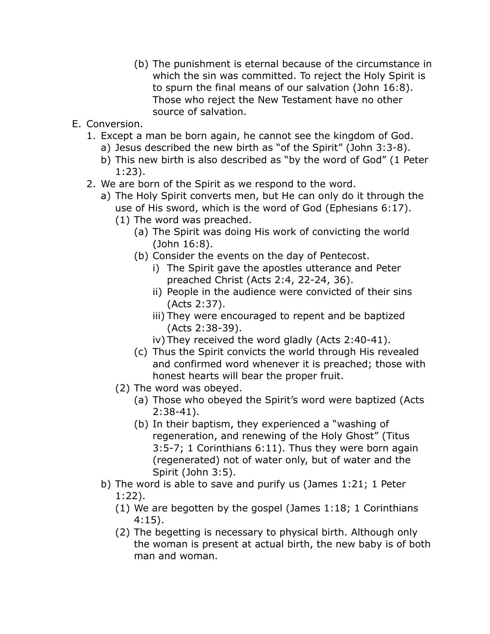- (b) The punishment is eternal because of the circumstance in which the sin was committed. To reject the Holy Spirit is to spurn the final means of our salvation (John 16:8). Those who reject the New Testament have no other source of salvation.
- E. Conversion.
	- 1. Except a man be born again, he cannot see the kingdom of God.
		- a) Jesus described the new birth as "of the Spirit" (John 3:3-8).
		- b) This new birth is also described as "by the word of God" (1 Peter 1:23).
	- 2. We are born of the Spirit as we respond to the word.
		- a) The Holy Spirit converts men, but He can only do it through the use of His sword, which is the word of God (Ephesians 6:17).
			- (1) The word was preached.
				- (a) The Spirit was doing His work of convicting the world (John 16:8).
				- (b) Consider the events on the day of Pentecost.
					- i) The Spirit gave the apostles utterance and Peter preached Christ (Acts 2:4, 22-24, 36).
					- ii) People in the audience were convicted of their sins (Acts 2:37).
					- iii) They were encouraged to repent and be baptized (Acts 2:38-39).
					- iv) They received the word gladly (Acts 2:40-41).
				- (c) Thus the Spirit convicts the world through His revealed and confirmed word whenever it is preached; those with honest hearts will bear the proper fruit.
			- (2) The word was obeyed.
				- (a) Those who obeyed the Spirit's word were baptized (Acts 2:38-41).
				- (b) In their baptism, they experienced a "washing of regeneration, and renewing of the Holy Ghost" (Titus 3:5-7; 1 Corinthians 6:11). Thus they were born again (regenerated) not of water only, but of water and the Spirit (John 3:5).
		- b) The word is able to save and purify us (James 1:21; 1 Peter 1:22).
			- (1) We are begotten by the gospel (James 1:18; 1 Corinthians 4:15).
			- (2) The begetting is necessary to physical birth. Although only the woman is present at actual birth, the new baby is of both man and woman.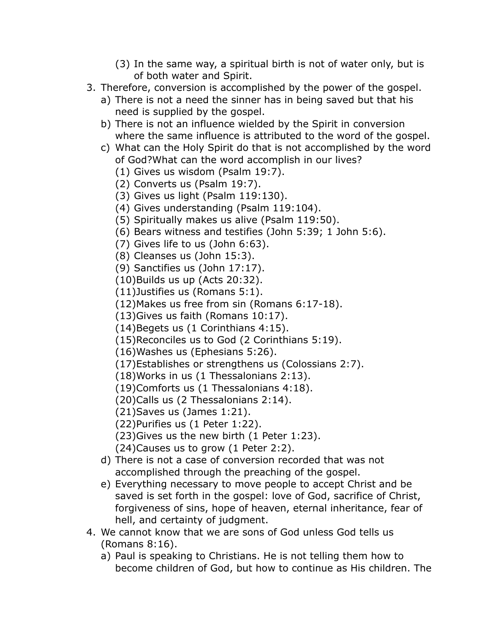- (3) In the same way, a spiritual birth is not of water only, but is of both water and Spirit.
- 3. Therefore, conversion is accomplished by the power of the gospel.
	- a) There is not a need the sinner has in being saved but that his need is supplied by the gospel.
	- b) There is not an influence wielded by the Spirit in conversion where the same influence is attributed to the word of the gospel.
	- c) What can the Holy Spirit do that is not accomplished by the word of God?What can the word accomplish in our lives?
		- (1) Gives us wisdom (Psalm 19:7).
		- (2) Converts us (Psalm 19:7).
		- (3) Gives us light (Psalm 119:130).
		- (4) Gives understanding (Psalm 119:104).
		- (5) Spiritually makes us alive (Psalm 119:50).
		- (6) Bears witness and testifies (John 5:39; 1 John 5:6).
		- (7) Gives life to us (John 6:63).
		- (8) Cleanses us (John 15:3).
		- (9) Sanctifies us (John 17:17).
		- (10)Builds us up (Acts 20:32).
		- (11)Justifies us (Romans 5:1).
		- (12)Makes us free from sin (Romans 6:17-18).
		- (13)Gives us faith (Romans 10:17).
		- (14)Begets us (1 Corinthians 4:15).
		- (15)Reconciles us to God (2 Corinthians 5:19).
		- (16)Washes us (Ephesians 5:26).
		- (17)Establishes or strengthens us (Colossians 2:7).
		- (18)Works in us (1 Thessalonians 2:13).
		- (19)Comforts us (1 Thessalonians 4:18).
		- (20)Calls us (2 Thessalonians 2:14).
		- (21)Saves us (James 1:21).
		- (22)Purifies us (1 Peter 1:22).
		- (23)Gives us the new birth (1 Peter 1:23).
		- (24)Causes us to grow (1 Peter 2:2).
	- d) There is not a case of conversion recorded that was not accomplished through the preaching of the gospel.
	- e) Everything necessary to move people to accept Christ and be saved is set forth in the gospel: love of God, sacrifice of Christ, forgiveness of sins, hope of heaven, eternal inheritance, fear of hell, and certainty of judgment.
- 4. We cannot know that we are sons of God unless God tells us (Romans 8:16).
	- a) Paul is speaking to Christians. He is not telling them how to become children of God, but how to continue as His children. The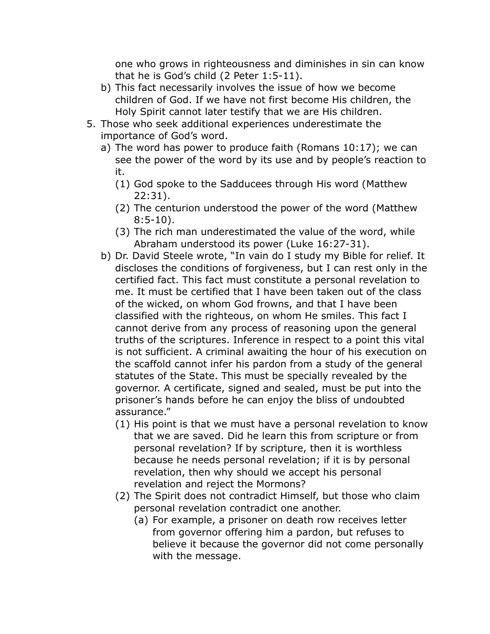one who grows in righteousness and diminishes in sin can know that he is God's child (2 Peter 1:5-11).

- b) This fact necessarily involves the issue of how we become children of God. If we have not first become His children, the Holy Spirit cannot later testify that we are His children.
- 5. Those who seek additional experiences underestimate the importance of God's word.
	- a) The word has power to produce faith (Romans 10:17); we can see the power of the word by its use and by people's reaction to it.
		- (1) God spoke to the Sadducees through His word (Matthew 22:31).
		- (2) The centurion understood the power of the word (Matthew 8:5-10).
		- (3) The rich man underestimated the value of the word, while Abraham understood its power (Luke 16:27-31).
	- b) Dr. David Steele wrote, "In vain do I study my Bible for relief. It discloses the conditions of forgiveness, but I can rest only in the certified fact. This fact must constitute a personal revelation to me. It must be certified that I have been taken out of the class of the wicked, on whom God frowns, and that I have been classified with the righteous, on whom He smiles. This fact I cannot derive from any process of reasoning upon the general truths of the scriptures. Inference in respect to a point this vital is not sufficient. A criminal awaiting the hour of his execution on the scaffold cannot infer his pardon from a study of the general statutes of the State. This must be specially revealed by the governor. A certificate, signed and sealed, must be put into the prisoner's hands before he can enjoy the bliss of undoubted assurance."
		- (1) His point is that we must have a personal revelation to know that we are saved. Did he learn this from scripture or from personal revelation? If by scripture, then it is worthless because he needs personal revelation; if it is by personal revelation, then why should we accept his personal revelation and reject the Mormons?
		- (2) The Spirit does not contradict Himself, but those who claim personal revelation contradict one another.
			- (a) For example, a prisoner on death row receives letter from governor offering him a pardon, but refuses to believe it because the governor did not come personally with the message.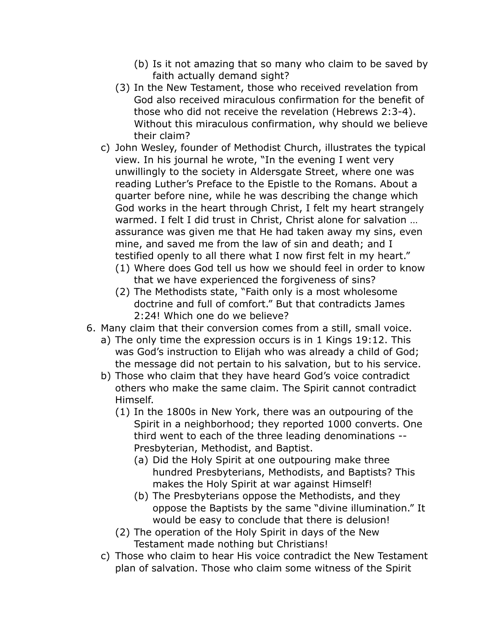- (b) Is it not amazing that so many who claim to be saved by faith actually demand sight?
- (3) In the New Testament, those who received revelation from God also received miraculous confirmation for the benefit of those who did not receive the revelation (Hebrews 2:3-4). Without this miraculous confirmation, why should we believe their claim?
- c) John Wesley, founder of Methodist Church, illustrates the typical view. In his journal he wrote, "In the evening I went very unwillingly to the society in Aldersgate Street, where one was reading Luther's Preface to the Epistle to the Romans. About a quarter before nine, while he was describing the change which God works in the heart through Christ, I felt my heart strangely warmed. I felt I did trust in Christ, Christ alone for salvation … assurance was given me that He had taken away my sins, even mine, and saved me from the law of sin and death; and I testified openly to all there what I now first felt in my heart."
	- (1) Where does God tell us how we should feel in order to know that we have experienced the forgiveness of sins?
	- (2) The Methodists state, "Faith only is a most wholesome doctrine and full of comfort." But that contradicts James 2:24! Which one do we believe?
- 6. Many claim that their conversion comes from a still, small voice.
	- a) The only time the expression occurs is in 1 Kings 19:12. This was God's instruction to Elijah who was already a child of God; the message did not pertain to his salvation, but to his service.
	- b) Those who claim that they have heard God's voice contradict others who make the same claim. The Spirit cannot contradict Himself.
		- (1) In the 1800s in New York, there was an outpouring of the Spirit in a neighborhood; they reported 1000 converts. One third went to each of the three leading denominations -- Presbyterian, Methodist, and Baptist.
			- (a) Did the Holy Spirit at one outpouring make three hundred Presbyterians, Methodists, and Baptists? This makes the Holy Spirit at war against Himself!
			- (b) The Presbyterians oppose the Methodists, and they oppose the Baptists by the same "divine illumination." It would be easy to conclude that there is delusion!
		- (2) The operation of the Holy Spirit in days of the New Testament made nothing but Christians!
	- c) Those who claim to hear His voice contradict the New Testament plan of salvation. Those who claim some witness of the Spirit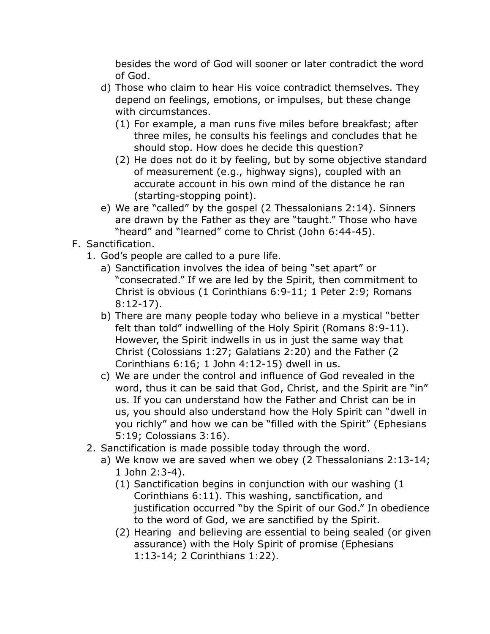besides the word of God will sooner or later contradict the word of God.

- d) Those who claim to hear His voice contradict themselves. They depend on feelings, emotions, or impulses, but these change with circumstances.
	- (1) For example, a man runs five miles before breakfast; after three miles, he consults his feelings and concludes that he should stop. How does he decide this question?
	- (2) He does not do it by feeling, but by some objective standard of measurement (e.g., highway signs), coupled with an accurate account in his own mind of the distance he ran (starting-stopping point).
- e) We are "called" by the gospel (2 Thessalonians 2:14). Sinners are drawn by the Father as they are "taught." Those who have "heard" and "learned" come to Christ (John 6:44-45).

#### F. Sanctification.

- 1. God's people are called to a pure life.
	- a) Sanctification involves the idea of being "set apart" or "consecrated." If we are led by the Spirit, then commitment to Christ is obvious (1 Corinthians 6:9-11; 1 Peter 2:9; Romans 8:12-17).
	- b) There are many people today who believe in a mystical "better felt than told" indwelling of the Holy Spirit (Romans 8:9-11). However, the Spirit indwells in us in just the same way that Christ (Colossians 1:27; Galatians 2:20) and the Father (2 Corinthians 6:16; 1 John 4:12-15) dwell in us.
	- c) We are under the control and influence of God revealed in the word, thus it can be said that God, Christ, and the Spirit are "in" us. If you can understand how the Father and Christ can be in us, you should also understand how the Holy Spirit can "dwell in you richly" and how we can be "filled with the Spirit" (Ephesians 5:19; Colossians 3:16).
- 2. Sanctification is made possible today through the word.
	- a) We know we are saved when we obey (2 Thessalonians 2:13-14; 1 John 2:3-4).
		- (1) Sanctification begins in conjunction with our washing (1 Corinthians 6:11). This washing, sanctification, and justification occurred "by the Spirit of our God." In obedience to the word of God, we are sanctified by the Spirit.
		- (2) Hearing and believing are essential to being sealed (or given assurance) with the Holy Spirit of promise (Ephesians 1:13-14; 2 Corinthians 1:22).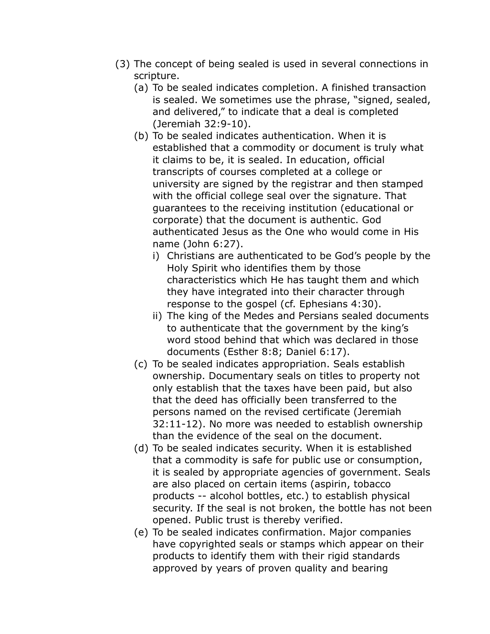- (3) The concept of being sealed is used in several connections in scripture.
	- (a) To be sealed indicates completion. A finished transaction is sealed. We sometimes use the phrase, "signed, sealed, and delivered," to indicate that a deal is completed (Jeremiah 32:9-10).
	- (b) To be sealed indicates authentication. When it is established that a commodity or document is truly what it claims to be, it is sealed. In education, official transcripts of courses completed at a college or university are signed by the registrar and then stamped with the official college seal over the signature. That guarantees to the receiving institution (educational or corporate) that the document is authentic. God authenticated Jesus as the One who would come in His name (John 6:27).
		- i) Christians are authenticated to be God's people by the Holy Spirit who identifies them by those characteristics which He has taught them and which they have integrated into their character through response to the gospel (cf. Ephesians 4:30).
		- ii) The king of the Medes and Persians sealed documents to authenticate that the government by the king's word stood behind that which was declared in those documents (Esther 8:8; Daniel 6:17).
	- (c) To be sealed indicates appropriation. Seals establish ownership. Documentary seals on titles to property not only establish that the taxes have been paid, but also that the deed has officially been transferred to the persons named on the revised certificate (Jeremiah 32:11-12). No more was needed to establish ownership than the evidence of the seal on the document.
	- (d) To be sealed indicates security. When it is established that a commodity is safe for public use or consumption, it is sealed by appropriate agencies of government. Seals are also placed on certain items (aspirin, tobacco products -- alcohol bottles, etc.) to establish physical security. If the seal is not broken, the bottle has not been opened. Public trust is thereby verified.
	- (e) To be sealed indicates confirmation. Major companies have copyrighted seals or stamps which appear on their products to identify them with their rigid standards approved by years of proven quality and bearing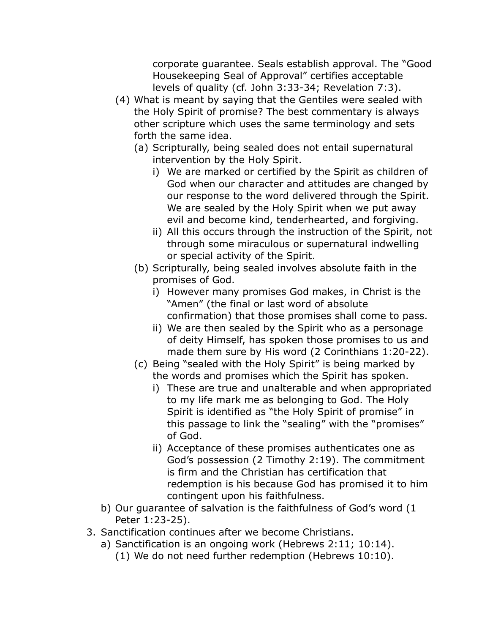corporate guarantee. Seals establish approval. The "Good Housekeeping Seal of Approval" certifies acceptable levels of quality (cf. John 3:33-34; Revelation 7:3).

- (4) What is meant by saying that the Gentiles were sealed with the Holy Spirit of promise? The best commentary is always other scripture which uses the same terminology and sets forth the same idea.
	- (a) Scripturally, being sealed does not entail supernatural intervention by the Holy Spirit.
		- i) We are marked or certified by the Spirit as children of God when our character and attitudes are changed by our response to the word delivered through the Spirit. We are sealed by the Holy Spirit when we put away evil and become kind, tenderhearted, and forgiving.
		- ii) All this occurs through the instruction of the Spirit, not through some miraculous or supernatural indwelling or special activity of the Spirit.
	- (b) Scripturally, being sealed involves absolute faith in the promises of God.
		- i) However many promises God makes, in Christ is the "Amen" (the final or last word of absolute confirmation) that those promises shall come to pass.
		- ii) We are then sealed by the Spirit who as a personage of deity Himself, has spoken those promises to us and made them sure by His word (2 Corinthians 1:20-22).
	- (c) Being "sealed with the Holy Spirit" is being marked by the words and promises which the Spirit has spoken.
		- i) These are true and unalterable and when appropriated to my life mark me as belonging to God. The Holy Spirit is identified as "the Holy Spirit of promise" in this passage to link the "sealing" with the "promises" of God.
		- ii) Acceptance of these promises authenticates one as God's possession (2 Timothy 2:19). The commitment is firm and the Christian has certification that redemption is his because God has promised it to him contingent upon his faithfulness.
- b) Our guarantee of salvation is the faithfulness of God's word (1 Peter 1:23-25).
- 3. Sanctification continues after we become Christians.
	- a) Sanctification is an ongoing work (Hebrews 2:11; 10:14).
		- (1) We do not need further redemption (Hebrews 10:10).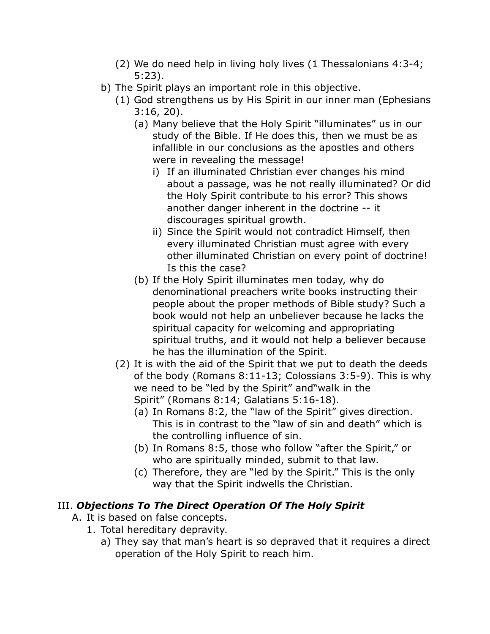- (2) We do need help in living holy lives (1 Thessalonians 4:3-4; 5:23).
- b) The Spirit plays an important role in this objective.
	- (1) God strengthens us by His Spirit in our inner man (Ephesians 3:16, 20).
		- (a) Many believe that the Holy Spirit "illuminates" us in our study of the Bible. If He does this, then we must be as infallible in our conclusions as the apostles and others were in revealing the message!
			- i) If an illuminated Christian ever changes his mind about a passage, was he not really illuminated? Or did the Holy Spirit contribute to his error? This shows another danger inherent in the doctrine -- it discourages spiritual growth.
			- ii) Since the Spirit would not contradict Himself, then every illuminated Christian must agree with every other illuminated Christian on every point of doctrine! Is this the case?
		- (b) If the Holy Spirit illuminates men today, why do denominational preachers write books instructing their people about the proper methods of Bible study? Such a book would not help an unbeliever because he lacks the spiritual capacity for welcoming and appropriating spiritual truths, and it would not help a believer because he has the illumination of the Spirit.
	- (2) It is with the aid of the Spirit that we put to death the deeds of the body (Romans 8:11-13; Colossians 3:5-9). This is why we need to be "led by the Spirit" and"walk in the Spirit" (Romans 8:14; Galatians 5:16-18).
		- (a) In Romans 8:2, the "law of the Spirit" gives direction. This is in contrast to the "law of sin and death" which is the controlling influence of sin.
		- (b) In Romans 8:5, those who follow "after the Spirit," or who are spiritually minded, submit to that law.
		- (c) Therefore, they are "led by the Spirit." This is the only way that the Spirit indwells the Christian.

## III. *Objections To The Direct Operation Of The Holy Spirit*

- A. It is based on false concepts.
	- 1. Total hereditary depravity.
		- a) They say that man's heart is so depraved that it requires a direct operation of the Holy Spirit to reach him.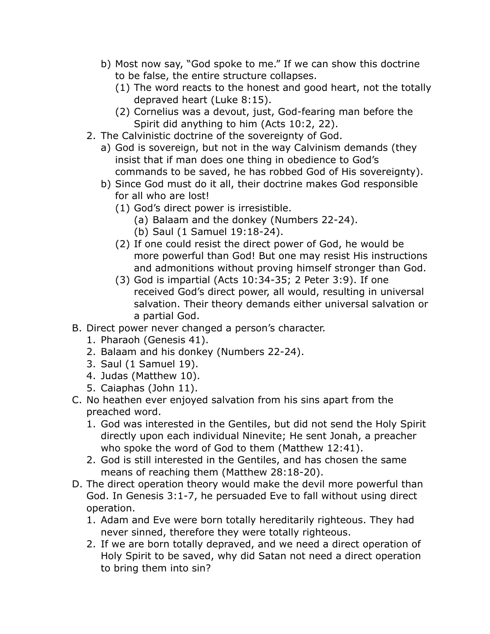- b) Most now say, "God spoke to me." If we can show this doctrine to be false, the entire structure collapses.
	- (1) The word reacts to the honest and good heart, not the totally depraved heart (Luke 8:15).
	- (2) Cornelius was a devout, just, God-fearing man before the Spirit did anything to him (Acts 10:2, 22).
- 2. The Calvinistic doctrine of the sovereignty of God.
	- a) God is sovereign, but not in the way Calvinism demands (they insist that if man does one thing in obedience to God's commands to be saved, he has robbed God of His sovereignty).
	- b) Since God must do it all, their doctrine makes God responsible for all who are lost!
		- (1) God's direct power is irresistible.
			- (a) Balaam and the donkey (Numbers 22-24).
			- (b) Saul (1 Samuel 19:18-24).
		- (2) If one could resist the direct power of God, he would be more powerful than God! But one may resist His instructions and admonitions without proving himself stronger than God.
		- (3) God is impartial (Acts 10:34-35; 2 Peter 3:9). If one received God's direct power, all would, resulting in universal salvation. Their theory demands either universal salvation or a partial God.
- B. Direct power never changed a person's character.
	- 1. Pharaoh (Genesis 41).
	- 2. Balaam and his donkey (Numbers 22-24).
	- 3. Saul (1 Samuel 19).
	- 4. Judas (Matthew 10).
	- 5. Caiaphas (John 11).
- C. No heathen ever enjoyed salvation from his sins apart from the preached word.
	- 1. God was interested in the Gentiles, but did not send the Holy Spirit directly upon each individual Ninevite; He sent Jonah, a preacher who spoke the word of God to them (Matthew 12:41).
	- 2. God is still interested in the Gentiles, and has chosen the same means of reaching them (Matthew 28:18-20).
- D. The direct operation theory would make the devil more powerful than God. In Genesis 3:1-7, he persuaded Eve to fall without using direct operation.
	- 1. Adam and Eve were born totally hereditarily righteous. They had never sinned, therefore they were totally righteous.
	- 2. If we are born totally depraved, and we need a direct operation of Holy Spirit to be saved, why did Satan not need a direct operation to bring them into sin?